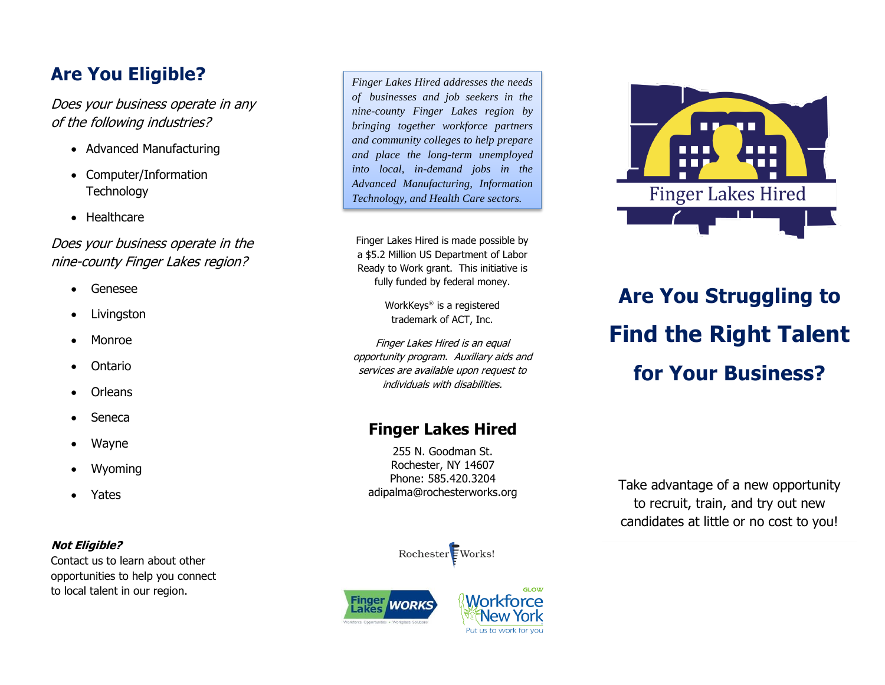# **Are You Eligible?**

Does your business operate in any of the following industries?

- Advanced Manufacturing
- Computer/Information **Technology**
- Healthcare

# Does your business operate in the nine-county Finger Lakes region?

- Genesee
- Livingston
- Monroe
- Ontario
- **Orleans**
- Seneca
- Wayne
- Wyoming
- Yates

# **Not Eligible?**

Contact us to learn about other opportunities to help you connect to local talent in our region.

*Finger Lakes Hired addresses the needs of businesses and job seekers in the nine -county Finger Lakes region by bringing together workforce partners and community colleges to help prepare and place the long -term unemployed into local, i n -demand jobs in the Advanced Manufacturing, Information Technology, and Health Care sectors.*

Finger Lakes Hired is made possible by a \$5.2 Million US Department of Labor Ready to Work grant. This initiative is fully funded by federal money .

> WorkKeys ® is a registered trademark of ACT, Inc.

Finger Lakes Hired is an equal opportunity program. Auxiliary aids and services are available upon request to individuals with disabilities.

# **Finger Lakes Hired**

255 N. Goodman St. Rochester, NY 14607 Phone: 585.420.3204 adipalma@rochesterworks.org



# **Are You Struggling to Find the Right Talent for Your Business?**

Take advantage of a new opportunity to recruit, train, and try out new candidates at little or no cost to you!

Rochester Works!